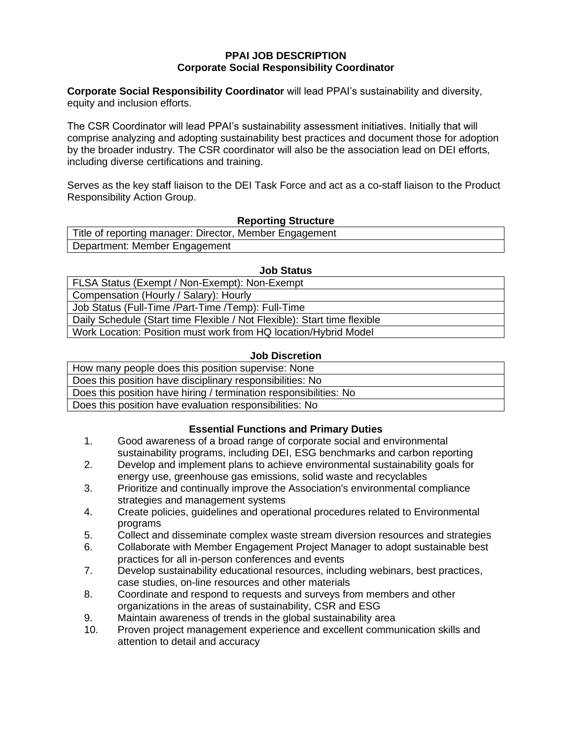#### **PPAI JOB DESCRIPTION Corporate Social Responsibility Coordinator**

**Corporate Social Responsibility Coordinator** will lead PPAI's sustainability and diversity, equity and inclusion efforts.

The CSR Coordinator will lead PPAI's sustainability assessment initiatives. Initially that will comprise analyzing and adopting sustainability best practices and document those for adoption by the broader industry. The CSR coordinator will also be the association lead on DEI efforts, including diverse certifications and training.

Serves as the key staff liaison to the DEI Task Force and act as a co-staff liaison to the Product Responsibility Action Group.

### **Reporting Structure**

| Title of reporting manager: Director, Member Engagement |  |
|---------------------------------------------------------|--|
| Department: Member Engagement                           |  |

#### **Job Status**

FLSA Status (Exempt / Non-Exempt): Non-Exempt Compensation (Hourly / Salary): Hourly Job Status (Full-Time /Part-Time /Temp): Full-Time Daily Schedule (Start time Flexible / Not Flexible): Start time flexible Work Location: Position must work from HQ location/Hybrid Model

### **Job Discretion**

| How many people does this position supervise: None                |  |  |  |
|-------------------------------------------------------------------|--|--|--|
| Does this position have disciplinary responsibilities: No         |  |  |  |
| Does this position have hiring / termination responsibilities: No |  |  |  |
| Does this position have evaluation responsibilities: No           |  |  |  |

## **Essential Functions and Primary Duties**

- 1. Good awareness of a broad range of corporate social and environmental sustainability programs, including DEI, ESG benchmarks and carbon reporting
- 2. Develop and implement plans to achieve environmental sustainability goals for energy use, greenhouse gas emissions, solid waste and recyclables
- 3. Prioritize and continually improve the Association's environmental compliance strategies and management systems
- 4. Create policies, guidelines and operational procedures related to Environmental programs
- 5. Collect and disseminate complex waste stream diversion resources and strategies
- 6. Collaborate with Member Engagement Project Manager to adopt sustainable best practices for all in-person conferences and events
- 7. Develop sustainability educational resources, including webinars, best practices, case studies, on-line resources and other materials
- 8. Coordinate and respond to requests and surveys from members and other organizations in the areas of sustainability, CSR and ESG
- 9. Maintain awareness of trends in the global sustainability area
- 10. Proven project management experience and excellent communication skills and attention to detail and accuracy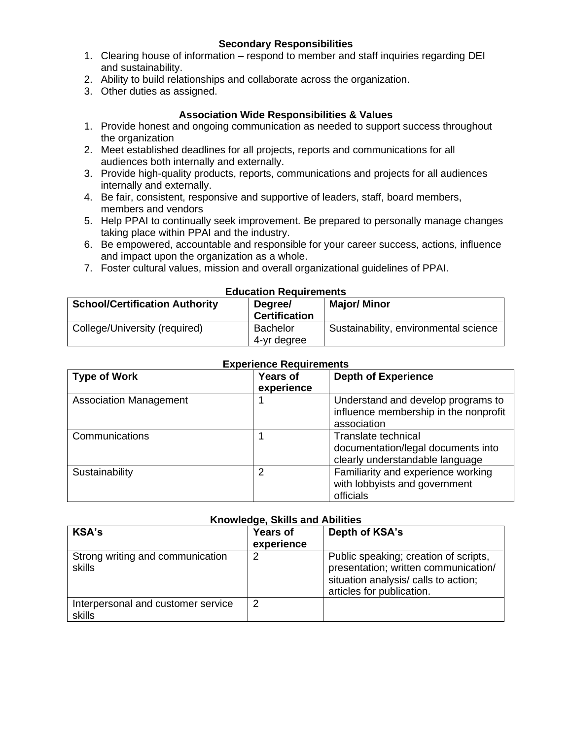- 1. Clearing house of information respond to member and staff inquiries regarding DEI and sustainability.
- 2. Ability to build relationships and collaborate across the organization.
- 3. Other duties as assigned.

# **Association Wide Responsibilities & Values**

- 1. Provide honest and ongoing communication as needed to support success throughout the organization
- 2. Meet established deadlines for all projects, reports and communications for all audiences both internally and externally.
- 3. Provide high-quality products, reports, communications and projects for all audiences internally and externally.
- 4. Be fair, consistent, responsive and supportive of leaders, staff, board members, members and vendors
- 5. Help PPAI to continually seek improvement. Be prepared to personally manage changes taking place within PPAI and the industry.
- 6. Be empowered, accountable and responsible for your career success, actions, influence and impact upon the organization as a whole.
- 7. Foster cultural values, mission and overall organizational guidelines of PPAI.

### **Education Requirements**

| <b>School/Certification Authority</b> | Degree/<br><b>Certification</b> | <b>Major/Minor</b>                    |
|---------------------------------------|---------------------------------|---------------------------------------|
| College/University (required)         | <b>Bachelor</b><br>4-yr degree  | Sustainability, environmental science |

| <b>Type of Work</b>           | <b>Years of</b><br>experience | <b>Depth of Experience</b>                                                                          |
|-------------------------------|-------------------------------|-----------------------------------------------------------------------------------------------------|
| <b>Association Management</b> |                               | Understand and develop programs to<br>influence membership in the nonprofit<br>association          |
| Communications                |                               | <b>Translate technical</b><br>documentation/legal documents into<br>clearly understandable language |
| Sustainability                | 2                             | Familiarity and experience working<br>with lobbyists and government<br>officials                    |

## **Experience Requirements**

# **Knowledge, Skills and Abilities**

| <b>KSA's</b>                                 | <b>Years of</b><br>experience | Depth of KSA's                                                                                                                                     |
|----------------------------------------------|-------------------------------|----------------------------------------------------------------------------------------------------------------------------------------------------|
| Strong writing and communication<br>skills   | 2                             | Public speaking; creation of scripts,<br>presentation; written communication/<br>situation analysis/ calls to action;<br>articles for publication. |
| Interpersonal and customer service<br>skills | 2                             |                                                                                                                                                    |